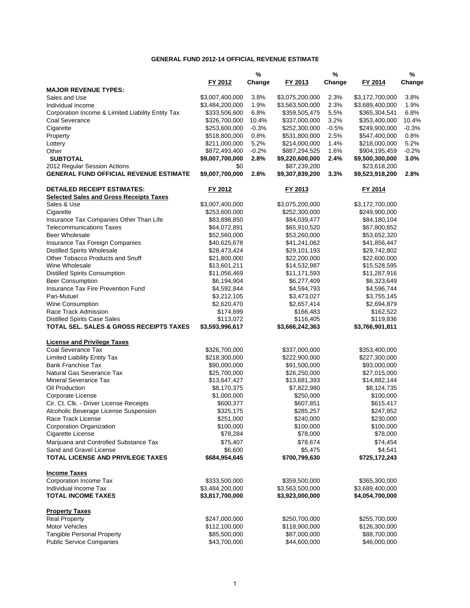### **GENERAL FUND 2012-14 OFFICIAL REVENUE ESTIMATE**

|                                                    |                                    | $\%$            |                                    | $\%$         |                                    | %               |
|----------------------------------------------------|------------------------------------|-----------------|------------------------------------|--------------|------------------------------------|-----------------|
|                                                    | FY 2012                            | Change          | FY 2013                            | Change       | FY 2014                            | Change          |
| <b>MAJOR REVENUE TYPES:</b>                        |                                    |                 |                                    |              |                                    |                 |
| Sales and Use                                      | \$3,007,400,000                    | 3.8%            | \$3,075,200,000                    | 2.3%         | \$3,172,700,000                    | 3.8%            |
| Individual Income                                  | \$3,484,200,000                    | 1.9%            | \$3,563,500,000                    | 2.3%         | \$3,689,400,000                    | 1.9%            |
| Corporation Income & Limited Liability Entity Tax  | \$333,506,600                      | 6.8%            | \$359,505,475                      | 5.5%         | \$365,304,541                      | 6.8%            |
| Coal Severance                                     | \$326,700,000                      | 10.4%           | \$337,000,000                      | 3.2%         | \$353,400,000                      | 10.4%           |
| Cigarette                                          | \$253,600,000                      | $-0.3%$         | \$252,300,000                      | $-0.5%$      | \$249,900,000                      | $-0.3%$         |
| Property                                           | \$518,800,000                      | 0.8%            | \$531,800,000                      | 2.5%         | \$547,400,000                      | 0.8%            |
| Lottery                                            | \$211,000,000                      | 5.2%            | \$214,000,000                      | 1.4%         | \$218,000,000                      | 5.2%            |
| Other<br><b>SUBTOTAL</b>                           | \$872,493,400<br>\$9,007,700,000   | $-0.2%$<br>2.8% | \$887,294,525                      | 1.6%<br>2.4% | \$904,195,459                      | $-0.2%$<br>3.0% |
| 2012 Regular Session Actions                       | \$0                                |                 | \$9,220,600,000<br>\$87,239,200    |              | \$9,500,300,000<br>\$23,618,200    |                 |
| <b>GENERAL FUND OFFICIAL REVENUE ESTIMATE</b>      | \$9,007,700,000                    | 2.8%            | \$9,307,839,200                    | 3.3%         | \$9,523,918,200                    | 2.8%            |
| <b>DETAILED RECEIPT ESTIMATES:</b>                 | FY 2012                            |                 | FY 2013                            |              | FY 2014                            |                 |
| <b>Selected Sales and Gross Receipts Taxes</b>     |                                    |                 |                                    |              |                                    |                 |
| Sales & Use                                        | \$3,007,400,000                    |                 | \$3,075,200,000                    |              | \$3,172,700,000                    |                 |
| Cigarette                                          | \$253,600,000                      |                 | \$252,300,000                      |              | \$249,900,000                      |                 |
| Insurance Tax Companies Other Than Life            | \$83,898,850                       |                 | \$84,039,477                       |              | \$84,180,104                       |                 |
| <b>Telecommunications Taxes</b>                    | \$64,072,891                       |                 | \$65,910,520                       |              | \$67,800,852                       |                 |
| Beer Wholesale                                     | \$52,560,000                       |                 | \$53,260,000                       |              | \$53,652,320                       |                 |
| Insurance Tax Foreign Companies                    | \$40,625,678                       |                 | \$41,241,062                       |              | \$41,856,447                       |                 |
| <b>Distilled Spirits Wholesale</b>                 | \$28,473,424                       |                 | \$29,101,193                       |              | \$29,742,802                       |                 |
| Other Tobacco Products and Snuff                   | \$21,800,000                       |                 | \$22,200,000                       |              | \$22,600,000                       |                 |
| Wine Wholesale                                     | \$13,601,211                       |                 | \$14,532,987                       |              | \$15,528,595                       |                 |
| <b>Distilled Spirits Consumption</b>               | \$11,056,469                       |                 | \$11,171,593                       |              | \$11,287,916                       |                 |
| <b>Beer Consumption</b>                            | \$6,194,904                        |                 | \$6,277,409                        |              | \$6,323,649                        |                 |
| Insurance Tax Fire Prevention Fund                 | \$4,592,844                        |                 | \$4,594,793                        |              | \$4,596,744                        |                 |
| Pari-Mutuel<br>Wine Consumption                    | \$3,212,105<br>\$2,620,470         |                 | \$3,473,027<br>\$2,657,414         |              | \$3,755,145                        |                 |
| Race Track Admission                               |                                    |                 | \$166,483                          |              | \$2,694,879<br>\$162,522           |                 |
| <b>Distilled Spirits Case Sales</b>                | \$174,699<br>\$113,072             |                 | \$116,405                          |              | \$119,836                          |                 |
| TOTAL SEL. SALES & GROSS RECEIPTS TAXES            | \$3,593,996,617                    |                 | \$3,666,242,363                    |              | \$3,766,901,811                    |                 |
| <b>License and Privilege Taxes</b>                 |                                    |                 |                                    |              |                                    |                 |
| Coal Severance Tax                                 | \$326,700,000                      |                 | \$337,000,000                      |              | \$353,400,000                      |                 |
| <b>Limited Liability Entity Tax</b>                | \$218,300,000                      |                 | \$222,900,000                      |              | \$227,300,000                      |                 |
| <b>Bank Franchise Tax</b>                          | \$90,000,000                       |                 | \$91,500,000                       |              | \$93,000,000                       |                 |
| Natural Gas Severance Tax                          | \$25,700,000                       |                 | \$26,250,000                       |              | \$27,015,000                       |                 |
| <b>Mineral Severance Tax</b>                       | \$13,647,427                       |                 | \$13,681,393                       |              | \$14,882,144                       |                 |
| Oil Production                                     | \$8,170,375                        |                 | \$7,822,980                        |              | \$8,124,735                        |                 |
| Corporate License                                  | \$1,000,000                        |                 | \$250,000                          |              | \$100,000                          |                 |
| Cir. Ct. Clk. - Driver License Receipts            | \$600,377                          |                 | \$607,851                          |              | \$615,417                          |                 |
| Alcoholic Beverage License Suspension              | \$325,175                          |                 | \$285,257                          |              | \$247,952                          |                 |
| Race Track License                                 | \$251,000                          |                 | \$240,000                          |              | \$230,000                          |                 |
| <b>Corporation Organization</b>                    | \$100,000                          |                 | \$100,000                          |              | \$100,000                          |                 |
| Cigarette License                                  | \$78,284                           |                 | \$78,000                           |              | \$78,000                           |                 |
| Marijuana and Controlled Substance Tax             | \$75,407                           |                 | \$78,674                           |              | \$74,454                           |                 |
| Sand and Gravel License                            | \$6,600                            |                 | \$5,475                            |              | \$4,541                            |                 |
| <b>TOTAL LICENSE AND PRIVILEGE TAXES</b>           | \$684,954,645                      |                 | \$700,799,630                      |              | \$725,172,243                      |                 |
| <b>Income Taxes</b>                                |                                    |                 |                                    |              |                                    |                 |
| Corporation Income Tax                             | \$333,500,000                      |                 | \$359,500,000                      |              | \$365,300,000                      |                 |
| Individual Income Tax<br><b>TOTAL INCOME TAXES</b> | \$3,484,200,000<br>\$3,817,700,000 |                 | \$3,563,500,000<br>\$3,923,000,000 |              | \$3,689,400,000<br>\$4,054,700,000 |                 |
|                                                    |                                    |                 |                                    |              |                                    |                 |
| <b>Property Taxes</b><br><b>Real Property</b>      | \$247,000,000                      |                 | \$250,700,000                      |              |                                    |                 |
| <b>Motor Vehicles</b>                              | \$112,100,000                      |                 | \$118,900,000                      |              | \$255,700,000<br>\$126,300,000     |                 |
| Tangible Personal Property                         | \$85,500,000                       |                 | \$87,000,000                       |              | \$88,700,000                       |                 |
| <b>Public Service Companies</b>                    | \$43,700,000                       |                 | \$44,600,000                       |              | \$46,000,000                       |                 |
|                                                    |                                    |                 |                                    |              |                                    |                 |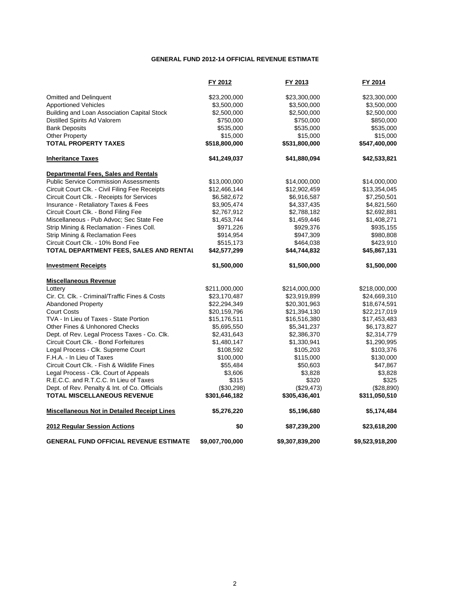#### **GENERAL FUND 2012-14 OFFICIAL REVENUE ESTIMATE**

|                                                    | FY 2012         | FY 2013         | FY 2014         |
|----------------------------------------------------|-----------------|-----------------|-----------------|
| <b>Omitted and Delinguent</b>                      | \$23,200,000    | \$23,300,000    | \$23,300,000    |
| <b>Apportioned Vehicles</b>                        | \$3,500,000     | \$3,500,000     | \$3,500,000     |
| Building and Loan Association Capital Stock        | \$2,500,000     | \$2,500,000     | \$2,500,000     |
| Distilled Spirits Ad Valorem                       | \$750,000       | \$750,000       | \$850,000       |
| <b>Bank Deposits</b>                               | \$535,000       | \$535,000       | \$535,000       |
| Other Property                                     | \$15,000        | \$15,000        | \$15,000        |
| <b>TOTAL PROPERTY TAXES</b>                        | \$518,800,000   | \$531,800,000   | \$547,400,000   |
| <b>Inheritance Taxes</b>                           | \$41,249,037    | \$41,880,094    | \$42,533,821    |
| <b>Departmental Fees, Sales and Rentals</b>        |                 |                 |                 |
| <b>Public Service Commission Assessments</b>       | \$13,000,000    | \$14,000,000    | \$14,000,000    |
| Circuit Court Clk. - Civil Filing Fee Receipts     | \$12,466,144    | \$12,902,459    | \$13,354,045    |
| Circuit Court Clk. - Receipts for Services         | \$6,582,672     | \$6,916,587     | \$7,250,501     |
| Insurance - Retaliatory Taxes & Fees               | \$3,905,474     | \$4,337,435     | \$4,821,560     |
| Circuit Court Clk. - Bond Filing Fee               | \$2,767,912     | \$2,788,182     | \$2,692,881     |
| Miscellaneous - Pub Advoc; Sec State Fee           | \$1,453,744     | \$1,459,446     | \$1,408,271     |
| Strip Mining & Reclamation - Fines Coll.           | \$971,226       | \$929,376       | \$935,155       |
| Strip Mining & Reclamation Fees                    | \$914,954       | \$947,309       | \$980,808       |
| Circuit Court Clk. - 10% Bond Fee                  | \$515,173       | \$464,038       | \$423,910       |
| TOTAL DEPARTMENT FEES, SALES AND RENTAL            | \$42,577,299    | \$44,744,832    | \$45,867,131    |
| <b>Investment Receipts</b>                         | \$1,500,000     | \$1,500,000     | \$1,500,000     |
| <b>Miscellaneous Revenue</b>                       |                 |                 |                 |
| Lottery                                            | \$211,000,000   | \$214,000,000   | \$218,000,000   |
| Cir. Ct. Clk. - Criminal/Traffic Fines & Costs     | \$23,170,487    | \$23,919,899    | \$24,669,310    |
| <b>Abandoned Property</b>                          | \$22,294,349    | \$20,301,963    | \$18,674,591    |
| <b>Court Costs</b>                                 | \$20,159,796    | \$21,394,130    | \$22,217,019    |
| TVA - In Lieu of Taxes - State Portion             | \$15,176,511    | \$16,516,380    | \$17,453,483    |
| Other Fines & Unhonored Checks                     | \$5,695,550     | \$5,341,237     | \$6,173,827     |
| Dept. of Rev. Legal Process Taxes - Co. Clk.       | \$2,431,643     | \$2,386,370     | \$2,314,779     |
| Circuit Court Clk. - Bond Forfeitures              | \$1,480,147     | \$1,330,941     | \$1,290,995     |
| Legal Process - Clk. Supreme Court                 | \$108,592       | \$105,203       | \$103,376       |
| F.H.A. - In Lieu of Taxes                          | \$100,000       | \$115,000       | \$130,000       |
| Circuit Court Clk. - Fish & Wildlife Fines         | \$55,484        | \$50,603        | \$47,867        |
| Legal Process - Clk. Court of Appeals              | \$3,606         | \$3,828         | \$3,828         |
| R.E.C.C. and R.T.C.C. In Lieu of Taxes             | \$315           | \$320           | \$325           |
| Dept. of Rev. Penalty & Int. of Co. Officials      | (\$30,298)      | (\$29,473)      | (\$28,890)      |
| <b>TOTAL MISCELLANEOUS REVENUE</b>                 | \$301,646,182   | \$305,436,401   | \$311,050,510   |
| <b>Miscellaneous Not in Detailed Receipt Lines</b> | \$5,276,220     | \$5,196,680     | \$5,174,484     |
| 2012 Regular Session Actions                       | \$0             | \$87,239,200    | \$23,618,200    |
| <b>GENERAL FUND OFFICIAL REVENUE ESTIMATE</b>      | \$9,007,700,000 | \$9,307,839,200 | \$9,523,918,200 |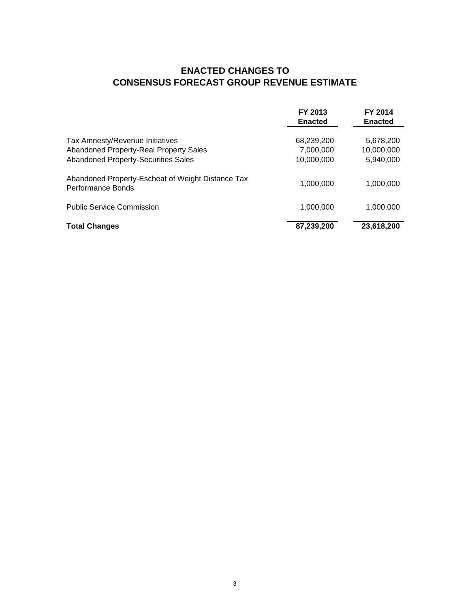# **ENACTED CHANGES TO CONSENSUS FORECAST GROUP REVENUE ESTIMATE**

|                                                                                                                                | FY 2013<br><b>Enacted</b>             | FY 2014<br><b>Enacted</b>            |
|--------------------------------------------------------------------------------------------------------------------------------|---------------------------------------|--------------------------------------|
| Tax Amnesty/Revenue Initiatives<br><b>Abandoned Property-Real Property Sales</b><br><b>Abandoned Property-Securities Sales</b> | 68,239,200<br>7,000,000<br>10,000,000 | 5,678,200<br>10,000,000<br>5,940,000 |
| Abandoned Property-Escheat of Weight Distance Tax<br>Performance Bonds                                                         | 1,000,000                             | 1,000,000                            |
| <b>Public Service Commission</b>                                                                                               | 1,000,000                             | 1.000.000                            |
| <b>Total Changes</b>                                                                                                           | 87,239,200                            | 23,618,200                           |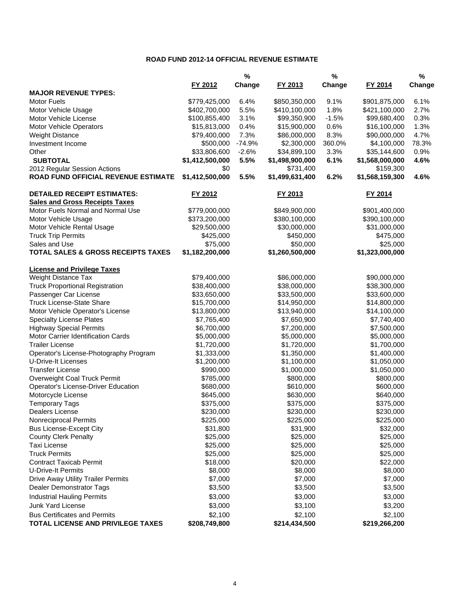### **ROAD FUND 2012-14 OFFICIAL REVENUE ESTIMATE**

|                                               |                 | $\%$     |                 | $\%$    |                 | $\%$   |
|-----------------------------------------------|-----------------|----------|-----------------|---------|-----------------|--------|
|                                               | FY 2012         | Change   | FY 2013         | Change  | FY 2014         | Change |
| <b>MAJOR REVENUE TYPES:</b>                   |                 |          |                 |         |                 |        |
| <b>Motor Fuels</b>                            | \$779,425,000   | 6.4%     | \$850,350,000   | 9.1%    | \$901,875,000   | 6.1%   |
| Motor Vehicle Usage                           | \$402,700,000   | 5.5%     | \$410,100,000   | 1.8%    | \$421,100,000   | 2.7%   |
| Motor Vehicle License                         | \$100,855,400   | 3.1%     | \$99,350,900    | $-1.5%$ | \$99,680,400    | 0.3%   |
| Motor Vehicle Operators                       | \$15,813,000    | 0.4%     | \$15,900,000    | 0.6%    | \$16,100,000    | 1.3%   |
| <b>Weight Distance</b>                        | \$79,400,000    | 7.3%     | \$86,000,000    | 8.3%    | \$90,000,000    | 4.7%   |
| Investment Income                             | \$500,000       | $-74.9%$ | \$2,300,000     | 360.0%  | \$4,100,000     | 78.3%  |
| Other                                         | \$33,806,600    | $-2.6%$  | \$34,899,100    | 3.3%    | \$35,144,600    | 0.9%   |
| <b>SUBTOTAL</b>                               | \$1,412,500,000 | 5.5%     | \$1,498,900,000 | 6.1%    | \$1,568,000,000 | 4.6%   |
| 2012 Regular Session Actions                  | \$0             |          | \$731,400       |         | \$159,300       |        |
| ROAD FUND OFFICIAL REVENUE ESTIMATE           | \$1,412,500,000 | 5.5%     | \$1,499,631,400 | 6.2%    | \$1,568,159,300 | 4.6%   |
| <b>DETAILED RECEIPT ESTIMATES:</b>            | FY 2012         |          | FY 2013         |         | FY 2014         |        |
| <b>Sales and Gross Receipts Taxes</b>         |                 |          |                 |         |                 |        |
| Motor Fuels Normal and Normal Use             | \$779,000,000   |          | \$849,900,000   |         | \$901,400,000   |        |
| Motor Vehicle Usage                           | \$373,200,000   |          | \$380,100,000   |         | \$390,100,000   |        |
| Motor Vehicle Rental Usage                    | \$29,500,000    |          | \$30,000,000    |         | \$31,000,000    |        |
| <b>Truck Trip Permits</b>                     | \$425,000       |          | \$450,000       |         | \$475,000       |        |
| Sales and Use                                 | \$75,000        |          | \$50,000        |         | \$25,000        |        |
| <b>TOTAL SALES &amp; GROSS RECEIPTS TAXES</b> | \$1,182,200,000 |          | \$1,260,500,000 |         | \$1,323,000,000 |        |
| <b>License and Privilege Taxes</b>            |                 |          |                 |         |                 |        |
| Weight Distance Tax                           | \$79,400,000    |          | \$86,000,000    |         | \$90,000,000    |        |
| <b>Truck Proportional Registration</b>        | \$38,400,000    |          | \$38,000,000    |         | \$38,300,000    |        |
| Passenger Car License                         | \$33,650,000    |          | \$33,500,000    |         | \$33,600,000    |        |
| <b>Truck License-State Share</b>              | \$15,700,000    |          | \$14,950,000    |         | \$14,800,000    |        |
| Motor Vehicle Operator's License              | \$13,800,000    |          | \$13,940,000    |         | \$14,100,000    |        |
| <b>Specialty License Plates</b>               | \$7,765,400     |          | \$7,650,900     |         | \$7,740,400     |        |
| <b>Highway Special Permits</b>                | \$6,700,000     |          | \$7,200,000     |         | \$7,500,000     |        |
| Motor Carrier Identification Cards            | \$5,000,000     |          | \$5,000,000     |         | \$5,000,000     |        |
| <b>Trailer License</b>                        | \$1,720,000     |          | \$1,720,000     |         | \$1,700,000     |        |
| Operator's License-Photography Program        | \$1,333,000     |          | \$1,350,000     |         | \$1,400,000     |        |
| <b>U-Drive-It Licenses</b>                    | \$1,200,000     |          | \$1,100,000     |         | \$1,050,000     |        |
| <b>Transfer License</b>                       | \$990,000       |          | \$1,000,000     |         | \$1,050,000     |        |
| Overweight Coal Truck Permit                  | \$785,000       |          | \$800,000       |         | \$800,000       |        |
| Operator's License-Driver Education           | \$680,000       |          | \$610,000       |         | \$600,000       |        |
| Motorcycle License                            | \$645,000       |          | \$630,000       |         | \$640,000       |        |
| <b>Temporary Tags</b>                         | \$375,000       |          | \$375,000       |         | \$375,000       |        |
| Dealers License                               | \$230,000       |          | \$230,000       |         | \$230,000       |        |
| Nonreciprocal Permits                         | \$225,000       |          | \$225,000       |         | \$225,000       |        |
| <b>Bus License-Except City</b>                | \$31,800        |          | \$31,900        |         | \$32,000        |        |
| <b>County Clerk Penalty</b>                   | \$25,000        |          | \$25,000        |         | \$25,000        |        |
| <b>Taxi License</b>                           | \$25,000        |          | \$25,000        |         | \$25,000        |        |
| <b>Truck Permits</b>                          | \$25,000        |          | \$25,000        |         | \$25,000        |        |
| <b>Contract Taxicab Permit</b>                | \$18,000        |          | \$20,000        |         | \$22,000        |        |
| <b>U-Drive-It Permits</b>                     | \$8,000         |          | \$8,000         |         | \$8,000         |        |
| Drive Away Utility Trailer Permits            | \$7,000         |          | \$7,000         |         | \$7,000         |        |
| Dealer Demonstrator Tags                      | \$3,500         |          | \$3,500         |         | \$3,500         |        |
| <b>Industrial Hauling Permits</b>             | \$3,000         |          | \$3,000         |         | \$3,000         |        |
| <b>Junk Yard License</b>                      | \$3,000         |          | \$3,100         |         | \$3,200         |        |
| <b>Bus Certificates and Permits</b>           | \$2,100         |          | \$2,100         |         | \$2,100         |        |
| TOTAL LICENSE AND PRIVILEGE TAXES             | \$208,749,800   |          | \$214,434,500   |         | \$219,266,200   |        |